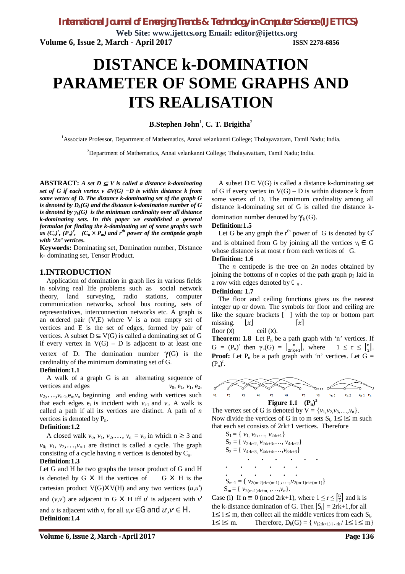**Web Site: www.ijettcs.org Email: editor@ijettcs.org Volume 6, Issue 2, March - April 2017 ISSN 2278-6856**

# **DISTANCE k-DOMINATION PARAMETER OF SOME GRAPHS AND ITS REALISATION**

 $\mathbf{B}.\mathbf{Stephen}\ \mathbf{John}^{1},\ \mathbf{C}.\ \mathbf{T}.\ \mathbf{Brigitha}^{2}$ 

<sup>1</sup>Associate Professor, Department of Mathematics, Annai velankanni College; Tholayavattam, Tamil Nadu; India.

<sup>2</sup>Department of Mathematics, Annai velankanni College; Tholayavattam, Tamil Nadu; India.

**ABSTRACT:** *A set D*  $\subseteq$  *V is called a distance k-dominating set of G if each vertex v <sup>∈</sup>V(G) −D is within distance k from some vertex of D. The distance k-dominating set of the graph G is denoted by Dk(G) and the distance k-domination number of G is denoted by*  $\gamma_k(G)$  *is the minimum cardinality over all distance k-dominating sets. In this paper we established a general formulae for finding the k-dominating set of some graphs such as*  $(C_n)^r$ ,  $(P_n)^r$ ,  $(C_n \times P_m)$  *and r<sup>th</sup> power of the centipede graph with '2n' vertices.* 

**Keywords:** Dominating set, Domination number, Distance k- dominating set, Tensor Product.

### **1.INTRODUCTION**

Application of domination in graph lies in various fields in solving real life problems such as social network theory, land surveying, radio stations, computer communication networks, school bus routing, sets of representatives, interconnection networks etc. A graph is an ordered pair (V,E) where V is a non empty set of vertices and E is the set of edges, formed by pair of vertices. A subset  $D \subseteq V(G)$  is called a dominating set of G if every vertex in  $V(G) - D$  is adjacent to at least one

vertex of D. The domination number  $\gamma(G)$  is the cardinality of the minimum dominating set of G.

#### **Definition:1.1**

A walk of a graph G is an alternating sequence of vertices and edges  $v_0$ ,  $e_1$ ,  $v_1$ ,  $e_2$ ,

 $v_2, \ldots, v_{n-1}, e_n, v_n$  beginning and ending with vertices such that each edges  $e_i$  is incident with  $v_{i-1}$  and  $v_i$ . A walk is called a path if all its vertices are distinct. A path of *n* vertices is denoted by  $P_n$ .

#### **Definition:1.2**

A closed walk  $v_0$ ,  $v_1$ ,  $v_2$ ,...,  $v_n = v_0$  in which  $n \geq 3$  and  $v_0$ ,  $v_1$ ,  $v_2$ , ...,  $v_{n-1}$  are distinct is called a cycle. The graph consisting of a cycle having *n* vertices is denoted by  $C_n$ .

#### **Definition:1.3**

Let G and H be two graphs the tensor product of G and H is denoted by  $G \times H$  the vertices of  $G \times H$  is the cartesian product  $V(G) \times V(H)$  and any two vertices  $(u, u')$ and  $(v, v')$  are adjacent in G  $\times$  H iff *u*' is adjacent with *v*' and *u* is adjacent with *v*, for all  $u, v \in G$  and  $u', v' \in H$ . **Definition:1.4** 

A subset  $D \subseteq V(G)$  is called a distance k-dominating set of G if every vertex in  $V(G) - D$  is within distance k from some vertex of D. The minimum cardinality among all distance k-dominating set of G is called the distance kdomination number denoted by  $\gamma_k(G)$ .

#### **Definition:1.5**

Let G be any graph the  $r<sup>th</sup>$  power of G is denoted by  $G<sup>r</sup>$ and is obtained from G by joining all the vertices  $v_i \in G$ whose distance is at most r from each vertices of G.

### **Definition: 1.6**

The *n* centipede is the tree on 2*n* nodes obtained by joining the bottoms of *n* copies of the path graph  $p_2$  laid in a row with edges denoted by *C<sup>n</sup>* .

#### **Definition: 1.7**

The floor and ceiling functions gives us the nearest integer up or down. The symbols for floor and ceiling are like the square brackets [ ] with the top or bottom part missing.  $\lfloor x \rfloor$   $\lfloor x \rfloor$ 

floor  $(x)$  ceil  $(x)$ .

**Theorem: 1.8** Let  $P_n$  be a path graph with 'n' vertices. If  $G = (P_n)^r$  then  $\gamma_k(G) = \left[\frac{n}{2rk+1}\right]$ , where  $1 \leq r \leq \left[\frac{n}{2}\right]$ . **Proof:** Let  $P_n$  be a path graph with 'n' vertices. Let  $G =$  $(P_n)^r$ .



The vertex set of G is denoted by  $V = \{v_1, v_2, v_3, \ldots, v_n\}.$ Now divide the vertices of G in to m sets  $S_i$ ,  $1 \le i \le m$  such that each set consists of 2rk+1 vertices. Therefore

 $S_1 = \{ v_1, v_2, \ldots, v_{2rk+1} \}$  $S_2 = \{ v_{2rk+2}, v_{2rk+3}, \ldots, v_{4rk+2} \}$  $S_3 = \{ v_{4rk+3}, v_{4rk+4}, \ldots, v_{8rk+3} \}$  **. . . . . . . . . . . . . . . . . .**  $S_{m-1} = \{ v_{2(m-2)r k + (m-1)}, \ldots, v_{2(m-1)r k + (m-1)} \}$  $S_m = \{ v_{2(m-1)r k+m, \dots, v_n} \}.$ 

Case (i) If  $n \equiv 0 \pmod{2rk+1}$ , where  $1 \le r \le \left[\frac{n}{2}\right]$  and k is the k-distance domination of G. Then  $|S_i| = 2rk+1$ , for all  $1 \le i \le m$ , then collect all the middle vertices from each  $S_i$ ,  $1 \le i \le m$ . Therefore,  $D_k(G) = \{ v_{(2rk+1)i - rk} / 1 \le i \le m \}$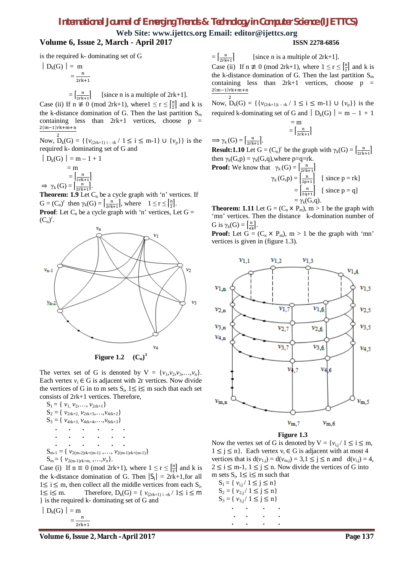## *International Journal of Emerging Trends & Technology in Computer Science (IJETTCS)*

**Web Site: www.ijettcs.org Email: editor@ijettcs.org Volume 6, Issue 2, March - April 2017 ISSN 2278-6856**

is the required k- dominating set of G

$$
\left| D_k(G) \right| = \frac{m}{2rk + 1}
$$

$$
= \left[\frac{n}{2r^{k+1}}\right]
$$
 [since n is a multiple of 2rk+1].

Case (ii) If  $n \not\equiv 0 \pmod{2rk+1}$ , where  $1 \le r \le \left[\frac{n}{2}\right]$  and k is the k-distance domination of G. Then the last partition  $S_m$ containing less than  $2rk+1$  vertices, choose  $p =$  $\frac{2(m-1)rk+m+n}{2}$ 

Now,  $D_k(G) = \{ \{v_{(2rk+1)i - rk} / 1 \le i \le m-1 \} \cup \{v_p\} \}$  is the required k- dominating set of G and

$$
| D_k(G) | = m - 1 + 1
$$
  
= m  
=  $\left[\frac{n}{2r} + 1\right]$   

$$
\Rightarrow \gamma_k(G) = \left[\frac{n}{2r} + 1\right].
$$

**Theorem: 1.9** Let  $C_n$  be a cycle graph with 'n' vertices. If  $G = (C_n)^r$  then  $\gamma_k(G) = \left[\frac{n}{2rk+1}\right]$ , where  $1 \le r \le \left[\frac{n}{2}\right]$ . **Proof**: Let  $C_n$  be a cycle graph with 'n' vertices, Let  $G =$ 



**Figure 1.2**  $(C_n)^3$ 

The vertex set of G is denoted by  $V = \{v_1, v_2, v_3, \ldots, v_n\}.$ Each vertex  $v_i \in G$  is adjacent with 2r vertices. Now divide the vertices of G in to m sets  $S_i$ ,  $1 \le i \le m$  such that each set consists of 2rk+1 vertices. Therefore,

S1 = { *v*1*, v*2,…, *v*2rk+1} S<sup>2</sup> = { *v*2rk+2*, v*2rk+3,…,*v*4rk+2} S<sup>3</sup> = { *v*4rk+3*, v*4rk+4,…,*v*8rk+3} **. . . . . . . . . . . . . . . . . .** Sm-1 = { *v*2(m-2)rk+(m-1) ,…, *v*2(m-1)rk+(m-1)} Sm = { *v*2(m-1)rk+m*,* ,…,*vn*}.

Case (i) If  $n \equiv 0 \pmod{2rk+1}$ , where  $1 \le r \le \left[\frac{n}{2}\right]$  and k is the k-distance domination of G. Then  $|S_i| = 2rk+1$ , for all  $1 \le i \le m$ , then collect all the middle vertices from each  $S_i$ , 1≤ i≤ m. Therefore,  $D_k(G) = \{ v_{(2rk+1) i - rk} / 1 \le i \le m \}$ } is the required k- dominating set of G and

$$
|D_k(G)| = m \underset{n}{\prod}
$$

$$
=\frac{1}{2\mathsf{rk}+1}
$$

 $=\left[\frac{n}{2r k+1}\right]$ [since n is a multiple of  $2rk+1$ ].

Case (ii) If  $n \neq 0$  (mod 2rk+1), where  $1 \leq r \leq \left[\frac{n}{2}\right]$  and k is the k-distance domination of G. Then the last partition  $S_m$ containing less than  $2rk+1$  vertices, choose  $p =$  $\frac{2(m-1)rk+m+n}{2}$ 

Now,  $D_k(G) = \{ \{ v_{(2rk+1)i - rk} / 1 \le i \le m-1 \} \cup \{ v_p \} \}$  is the required k-dominating set of G and  $|D_k(G)| = m - 1 + 1$ 

$$
= m
$$

$$
= \left[\frac{n}{2rk+1}\right]
$$

 $\Rightarrow \gamma_k(G) = \left[\frac{n}{2rk+1}\right].$ **Result:1.10** Let  $G = (C_n)^r$  be the graph with  $\gamma_k(G) = \left[\frac{n}{2rk+1}\right]$ then  $\gamma_k(G, p) = \gamma_k(G, q)$ , where p=q=rk.

**Proof:** We know that  $\gamma_k(G) = \left[\frac{n}{2rk+1}\right]$  $\gamma_k(G,p) = \left| \frac{n}{2p+1} \right| \quad [\text{ since } p = rk]$  $=\left|\frac{n}{2q+1}\right|$  [ since p = q]  $=\gamma_k(G,q)$ .

**Theorem: 1.11** Let  $G = (C_n \times P_m)$ ,  $m > 1$  be the graph with 'mn' vertices. Then the distance k-domination number of G is  $\gamma_k(G) = \left[\frac{n}{4k}\right]$ .

**Proof:** Let  $G = (C_n \times P_m)$ ,  $m > 1$  be the graph with 'mn' vertices is given in (figure 1.3).



#### **Figure 1.3**

Now the vertex set of G is denoted by  $V = \{v_{i,j} / 1 \le i \le m,$  $1 \leq j \leq n$ . Each vertex  $v_i \in G$  is adjacent with at most 4 vertices that is  $d(v_{1,j}) = d(v_{m,j}) = 3, 1 \le j \le n$  and  $d(v_{i,j}) = 4$ ,  $2 \le i \le m-1$ ,  $1 \le j \le n$ . Now divide the vertices of G into m sets  $S_i$ ,  $1 \le i \le m$  such that

| $S_1 = \{ v_{i,j} / 1 \le j \le n \}$ |  |
|---------------------------------------|--|
| $S_2 = \{ v_{2,i} / 1 \le j \le n \}$ |  |
| $S_3 = \{ v_{3,j} / 1 \le j \le n \}$ |  |
|                                       |  |
|                                       |  |
|                                       |  |

**Volume 6, Issue 2, March –April 2017 Page 137**